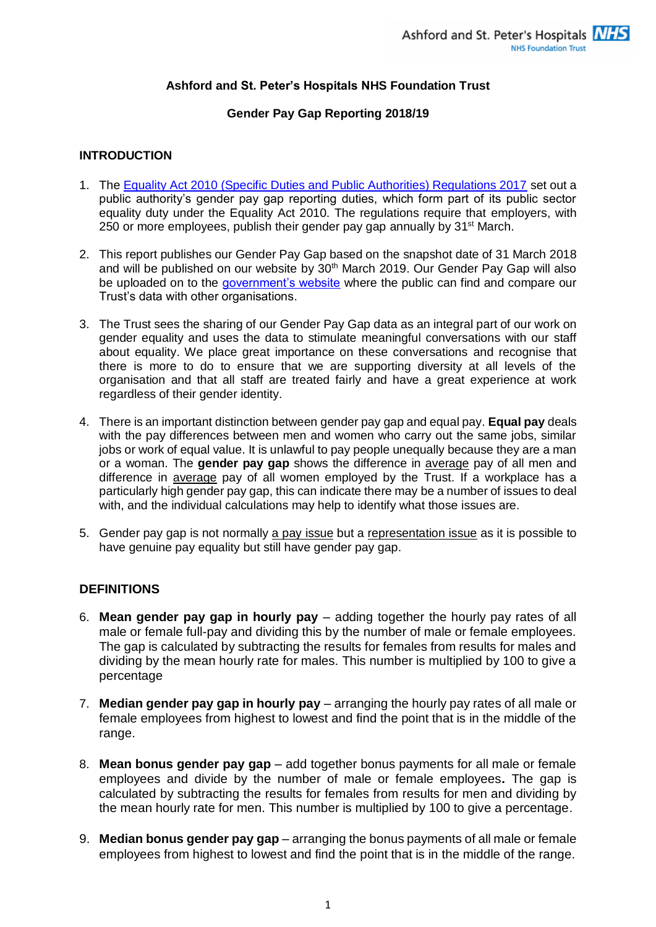# **Ashford and St. Peter's Hospitals NHS Foundation Trust**

# **Gender Pay Gap Reporting 2018/19**

#### **INTRODUCTION**

- 1. The [Equality Act 2010 \(Specific Duties and Public Authorities\) Regulations 2017](https://www.legislation.gov.uk/ukdsi/2017/9780111153277/contents) set out a public authority's gender pay gap reporting duties, which form part of its public sector equality duty under the Equality Act 2010. The regulations require that employers, with 250 or more employees, publish their gender pay gap annually by 31<sup>st</sup> March.
- 2. This report publishes our Gender Pay Gap based on the snapshot date of 31 March 2018 and will be published on our website by 30th March 2019. Our Gender Pay Gap will also be uploaded on to the [government's website](https://www.gov.uk/find-gender-pay-gap-data) where the public can find and compare our Trust's data with other organisations.
- 3. The Trust sees the sharing of our Gender Pay Gap data as an integral part of our work on gender equality and uses the data to stimulate meaningful conversations with our staff about equality. We place great importance on these conversations and recognise that there is more to do to ensure that we are supporting diversity at all levels of the organisation and that all staff are treated fairly and have a great experience at work regardless of their gender identity.
- 4. There is an important distinction between gender pay gap and equal pay. **Equal pay** deals with the pay differences between men and women who carry out the same jobs, similar jobs or work of equal value. It is unlawful to pay people unequally because they are a man or a woman. The **gender pay gap** shows the difference in average pay of all men and difference in average pay of all women employed by the Trust. If a workplace has a particularly high gender pay gap, this can indicate there may be a number of issues to deal with, and the individual calculations may help to identify what those issues are.
- 5. Gender pay gap is not normally a pay issue but a representation issue as it is possible to have genuine pay equality but still have gender pay gap.

# **DEFINITIONS**

- 6. **Mean gender pay gap in hourly pay**  adding together the hourly pay rates of all male or female full-pay and dividing this by the number of male or female employees. The gap is calculated by subtracting the results for females from results for males and dividing by the mean hourly rate for males. This number is multiplied by 100 to give a percentage
- 7. **Median gender pay gap in hourly pay**  arranging the hourly pay rates of all male or female employees from highest to lowest and find the point that is in the middle of the range.
- 8. **Mean bonus gender pay gap**  add together bonus payments for all male or female employees and divide by the number of male or female employees**.** The gap is calculated by subtracting the results for females from results for men and dividing by the mean hourly rate for men. This number is multiplied by 100 to give a percentage.
- 9. **Median bonus gender pay gap**  arranging the bonus payments of all male or female employees from highest to lowest and find the point that is in the middle of the range.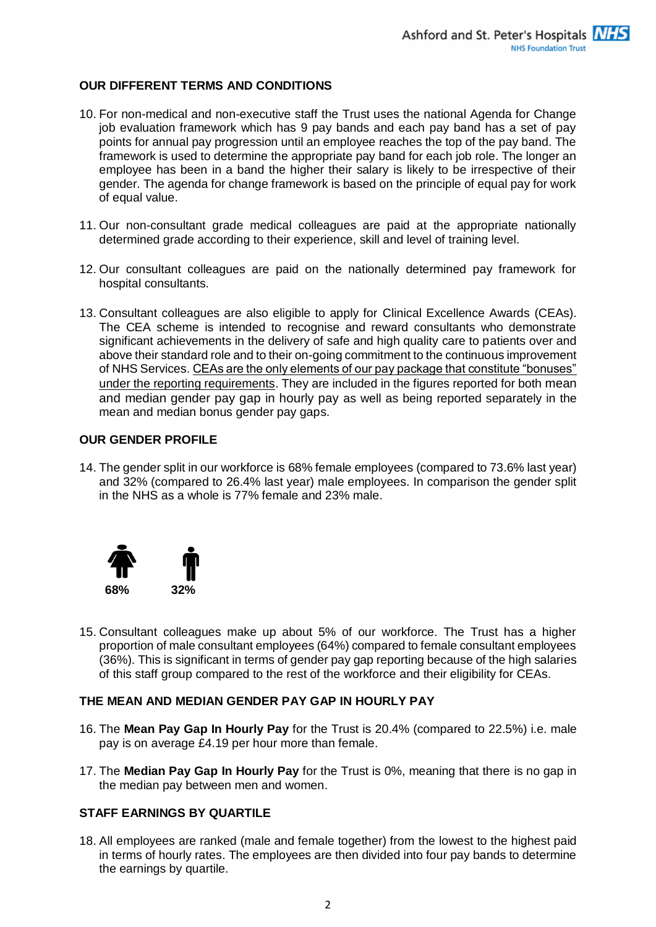# **OUR DIFFERENT TERMS AND CONDITIONS**

- 10. For non-medical and non-executive staff the Trust uses the national Agenda for Change job evaluation framework which has 9 pay bands and each pay band has a set of pay points for annual pay progression until an employee reaches the top of the pay band. The framework is used to determine the appropriate pay band for each job role. The longer an employee has been in a band the higher their salary is likely to be irrespective of their gender. The agenda for change framework is based on the principle of equal pay for work of equal value.
- 11. Our non-consultant grade medical colleagues are paid at the appropriate nationally determined grade according to their experience, skill and level of training level.
- 12. Our consultant colleagues are paid on the nationally determined pay framework for hospital consultants.
- 13. Consultant colleagues are also eligible to apply for Clinical Excellence Awards (CEAs). The CEA scheme is intended to recognise and reward consultants who demonstrate significant achievements in the delivery of safe and high quality care to patients over and above their standard role and to their on-going commitment to the continuous improvement of NHS Services. CEAs are the only elements of our pay package that constitute "bonuses" under the reporting requirements. They are included in the figures reported for both mean and median gender pay gap in hourly pay as well as being reported separately in the mean and median bonus gender pay gaps.

# **OUR GENDER PROFILE**

14. The gender split in our workforce is 68% female employees (compared to 73.6% last year) and 32% (compared to 26.4% last year) male employees. In comparison the gender split in the NHS as a whole is 77% female and 23% male.



15. Consultant colleagues make up about 5% of our workforce. The Trust has a higher proportion of male consultant employees (64%) compared to female consultant employees (36%). This is significant in terms of gender pay gap reporting because of the high salaries of this staff group compared to the rest of the workforce and their eligibility for CEAs.

# **THE MEAN AND MEDIAN GENDER PAY GAP IN HOURLY PAY**

- 16. The **Mean Pay Gap In Hourly Pay** for the Trust is 20.4% (compared to 22.5%) i.e. male pay is on average £4.19 per hour more than female.
- 17. The **Median Pay Gap In Hourly Pay** for the Trust is 0%, meaning that there is no gap in the median pay between men and women.

# **STAFF EARNINGS BY QUARTILE**

18. All employees are ranked (male and female together) from the lowest to the highest paid in terms of hourly rates. The employees are then divided into four pay bands to determine the earnings by quartile.